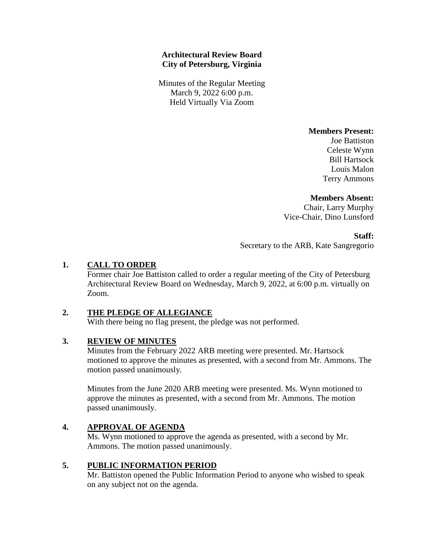## **Architectural Review Board City of Petersburg, Virginia**

Minutes of the Regular Meeting March 9, 2022 6:00 p.m. Held Virtually Via Zoom

**Members Present:** 

Joe Battiston Celeste Wynn Bill Hartsock Louis Malon Terry Ammons

## **Members Absent:**

Chair, Larry Murphy Vice-Chair, Dino Lunsford

**Staff:**

Secretary to the ARB, Kate Sangregorio

## **1. CALL TO ORDER**

Former chair Joe Battiston called to order a regular meeting of the City of Petersburg Architectural Review Board on Wednesday, March 9, 2022, at 6:00 p.m. virtually on Zoom.

## **2. THE PLEDGE OF ALLEGIANCE**

With there being no flag present, the pledge was not performed.

#### **3. REVIEW OF MINUTES**

Minutes from the February 2022 ARB meeting were presented. Mr. Hartsock motioned to approve the minutes as presented, with a second from Mr. Ammons. The motion passed unanimously.

Minutes from the June 2020 ARB meeting were presented. Ms. Wynn motioned to approve the minutes as presented, with a second from Mr. Ammons. The motion passed unanimously.

## **4. APPROVAL OF AGENDA**

Ms. Wynn motioned to approve the agenda as presented, with a second by Mr. Ammons. The motion passed unanimously.

## **5. PUBLIC INFORMATION PERIOD**

Mr. Battiston opened the Public Information Period to anyone who wished to speak on any subject not on the agenda.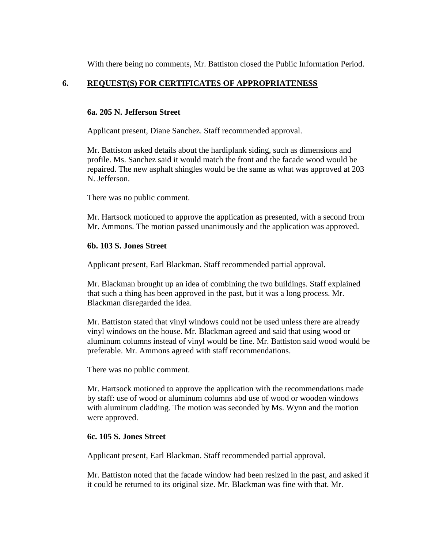With there being no comments, Mr. Battiston closed the Public Information Period.

## **6. REQUEST(S) FOR CERTIFICATES OF APPROPRIATENESS**

## **6a. 205 N. Jefferson Street**

Applicant present, Diane Sanchez. Staff recommended approval.

Mr. Battiston asked details about the hardiplank siding, such as dimensions and profile. Ms. Sanchez said it would match the front and the facade wood would be repaired. The new asphalt shingles would be the same as what was approved at 203 N. Jefferson.

There was no public comment.

Mr. Hartsock motioned to approve the application as presented, with a second from Mr. Ammons. The motion passed unanimously and the application was approved.

## **6b. 103 S. Jones Street**

Applicant present, Earl Blackman. Staff recommended partial approval.

Mr. Blackman brought up an idea of combining the two buildings. Staff explained that such a thing has been approved in the past, but it was a long process. Mr. Blackman disregarded the idea.

Mr. Battiston stated that vinyl windows could not be used unless there are already vinyl windows on the house. Mr. Blackman agreed and said that using wood or aluminum columns instead of vinyl would be fine. Mr. Battiston said wood would be preferable. Mr. Ammons agreed with staff recommendations.

There was no public comment.

Mr. Hartsock motioned to approve the application with the recommendations made by staff: use of wood or aluminum columns abd use of wood or wooden windows with aluminum cladding. The motion was seconded by Ms. Wynn and the motion were approved.

#### **6c. 105 S. Jones Street**

Applicant present, Earl Blackman. Staff recommended partial approval.

Mr. Battiston noted that the facade window had been resized in the past, and asked if it could be returned to its original size. Mr. Blackman was fine with that. Mr.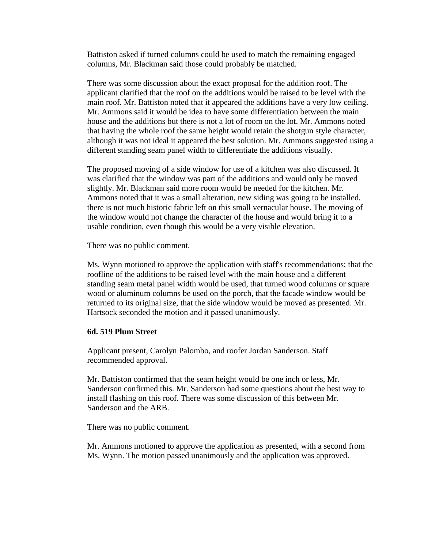Battiston asked if turned columns could be used to match the remaining engaged columns, Mr. Blackman said those could probably be matched.

There was some discussion about the exact proposal for the addition roof. The applicant clarified that the roof on the additions would be raised to be level with the main roof. Mr. Battiston noted that it appeared the additions have a very low ceiling. Mr. Ammons said it would be idea to have some differentiation between the main house and the additions but there is not a lot of room on the lot. Mr. Ammons noted that having the whole roof the same height would retain the shotgun style character, although it was not ideal it appeared the best solution. Mr. Ammons suggested using a different standing seam panel width to differentiate the additions visually.

The proposed moving of a side window for use of a kitchen was also discussed. It was clarified that the window was part of the additions and would only be moved slightly. Mr. Blackman said more room would be needed for the kitchen. Mr. Ammons noted that it was a small alteration, new siding was going to be installed, there is not much historic fabric left on this small vernacular house. The moving of the window would not change the character of the house and would bring it to a usable condition, even though this would be a very visible elevation.

There was no public comment.

Ms. Wynn motioned to approve the application with staff's recommendations; that the roofline of the additions to be raised level with the main house and a different standing seam metal panel width would be used, that turned wood columns or square wood or aluminum columns be used on the porch, that the facade window would be returned to its original size, that the side window would be moved as presented. Mr. Hartsock seconded the motion and it passed unanimously.

#### **6d. 519 Plum Street**

Applicant present, Carolyn Palombo, and roofer Jordan Sanderson. Staff recommended approval.

Mr. Battiston confirmed that the seam height would be one inch or less, Mr. Sanderson confirmed this. Mr. Sanderson had some questions about the best way to install flashing on this roof. There was some discussion of this between Mr. Sanderson and the ARB.

There was no public comment.

Mr. Ammons motioned to approve the application as presented, with a second from Ms. Wynn. The motion passed unanimously and the application was approved.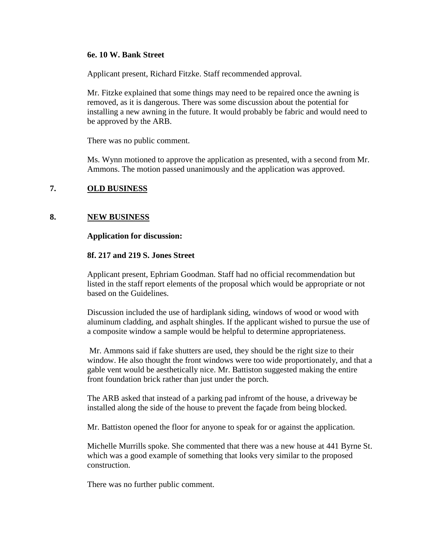#### **6e. 10 W. Bank Street**

Applicant present, Richard Fitzke. Staff recommended approval.

Mr. Fitzke explained that some things may need to be repaired once the awning is removed, as it is dangerous. There was some discussion about the potential for installing a new awning in the future. It would probably be fabric and would need to be approved by the ARB.

There was no public comment.

Ms. Wynn motioned to approve the application as presented, with a second from Mr. Ammons. The motion passed unanimously and the application was approved.

## **7. OLD BUSINESS**

## **8. NEW BUSINESS**

#### **Application for discussion:**

#### **8f. 217 and 219 S. Jones Street**

Applicant present, Ephriam Goodman. Staff had no official recommendation but listed in the staff report elements of the proposal which would be appropriate or not based on the Guidelines.

Discussion included the use of hardiplank siding, windows of wood or wood with aluminum cladding, and asphalt shingles. If the applicant wished to pursue the use of a composite window a sample would be helpful to determine appropriateness.

Mr. Ammons said if fake shutters are used, they should be the right size to their window. He also thought the front windows were too wide proportionately, and that a gable vent would be aesthetically nice. Mr. Battiston suggested making the entire front foundation brick rather than just under the porch.

The ARB asked that instead of a parking pad infromt of the house, a driveway be installed along the side of the house to prevent the façade from being blocked.

Mr. Battiston opened the floor for anyone to speak for or against the application.

Michelle Murrills spoke. She commented that there was a new house at 441 Byrne St. which was a good example of something that looks very similar to the proposed construction.

There was no further public comment.